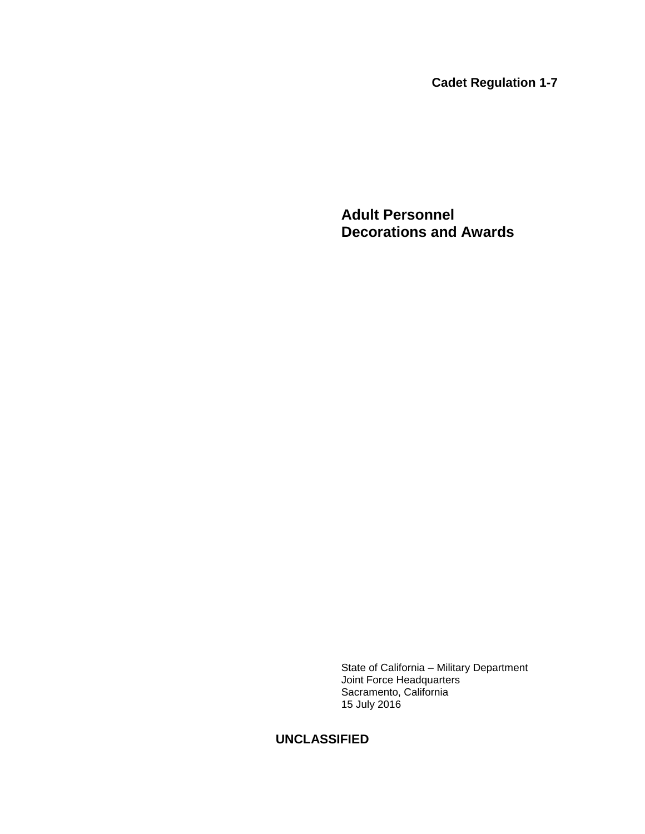**Cadet Regulation 1-7**

**Adult Personnel Decorations and Awards**

State of California – Military Department Joint Force Headquarters Sacramento, California 15 July 2016

## **UNCLASSIFIED**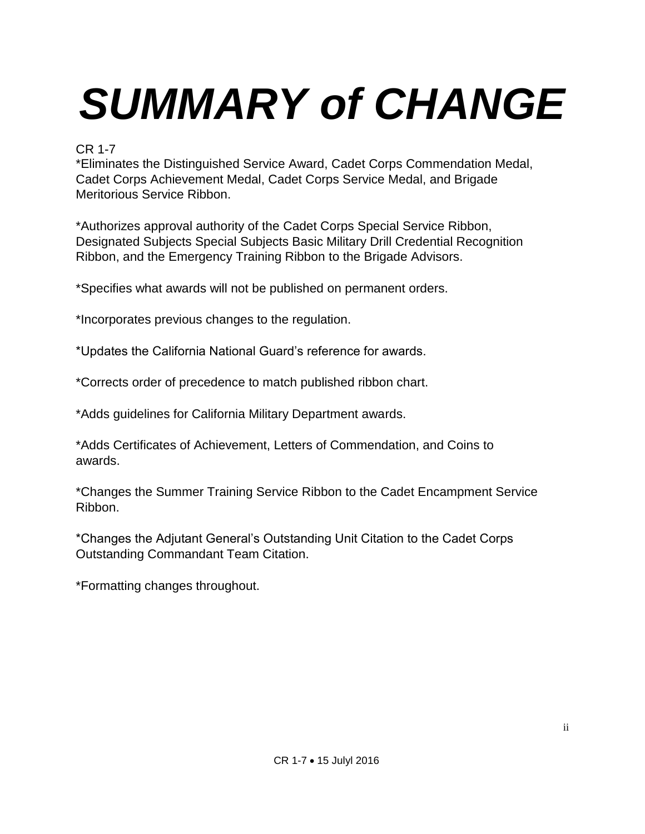# *SUMMARY of CHANGE*

## CR 1-7

\*Eliminates the Distinguished Service Award, Cadet Corps Commendation Medal, Cadet Corps Achievement Medal, Cadet Corps Service Medal, and Brigade Meritorious Service Ribbon.

\*Authorizes approval authority of the Cadet Corps Special Service Ribbon, Designated Subjects Special Subjects Basic Military Drill Credential Recognition Ribbon, and the Emergency Training Ribbon to the Brigade Advisors.

\*Specifies what awards will not be published on permanent orders.

\*Incorporates previous changes to the regulation.

\*Updates the California National Guard's reference for awards.

\*Corrects order of precedence to match published ribbon chart.

\*Adds guidelines for California Military Department awards.

\*Adds Certificates of Achievement, Letters of Commendation, and Coins to awards.

\*Changes the Summer Training Service Ribbon to the Cadet Encampment Service Ribbon.

\*Changes the Adjutant General's Outstanding Unit Citation to the Cadet Corps Outstanding Commandant Team Citation.

\*Formatting changes throughout.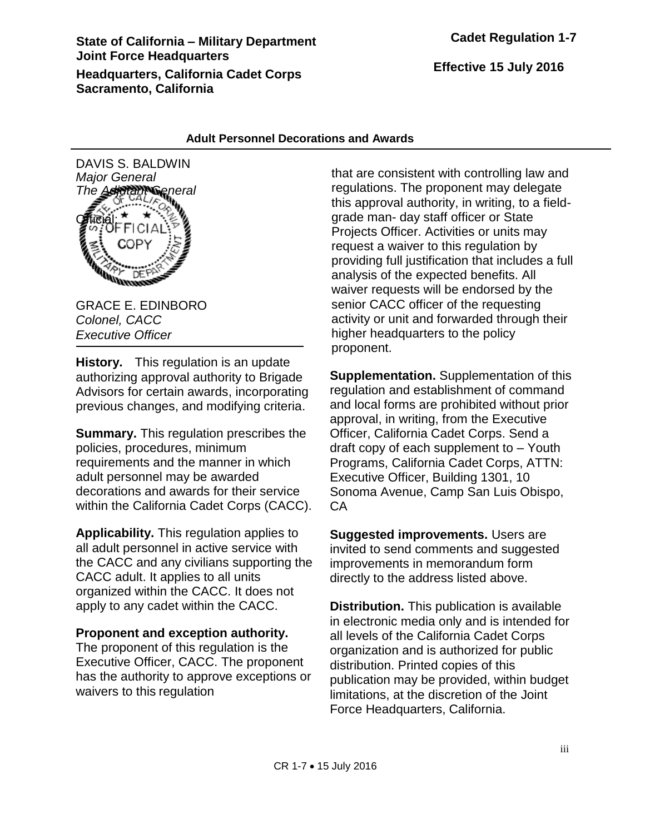## **State of California – Military Department Joint Force Headquarters Headquarters, California Cadet Corps Sacramento, California**

**Effective 15 July 2016**

#### **Adult Personnel Decorations and Awards**



GRACE E. EDINBORO *Colonel, CACC Executive Officer*

**History.** This regulation is an update authorizing approval authority to Brigade Advisors for certain awards, incorporating previous changes, and modifying criteria.

**Summary.** This regulation prescribes the policies, procedures, minimum requirements and the manner in which adult personnel may be awarded decorations and awards for their service within the California Cadet Corps (CACC).

**Applicability.** This regulation applies to all adult personnel in active service with the CACC and any civilians supporting the CACC adult. It applies to all units organized within the CACC. It does not apply to any cadet within the CACC.

#### **Proponent and exception authority.**

The proponent of this regulation is the Executive Officer, CACC. The proponent has the authority to approve exceptions or waivers to this regulation

that are consistent with controlling law and regulations. The proponent may delegate this approval authority, in writing, to a fieldgrade man- day staff officer or State Projects Officer. Activities or units may request a waiver to this regulation by providing full justification that includes a full analysis of the expected benefits. All waiver requests will be endorsed by the senior CACC officer of the requesting activity or unit and forwarded through their higher headquarters to the policy proponent.

**Supplementation.** Supplementation of this regulation and establishment of command and local forms are prohibited without prior approval, in writing, from the Executive Officer, California Cadet Corps. Send a draft copy of each supplement to – Youth Programs, California Cadet Corps, ATTN: Executive Officer, Building 1301, 10 Sonoma Avenue, Camp San Luis Obispo, CA

**Suggested improvements.** Users are invited to send comments and suggested improvements in memorandum form directly to the address listed above.

**Distribution.** This publication is available in electronic media only and is intended for all levels of the California Cadet Corps organization and is authorized for public distribution. Printed copies of this publication may be provided, within budget limitations, at the discretion of the Joint Force Headquarters, California.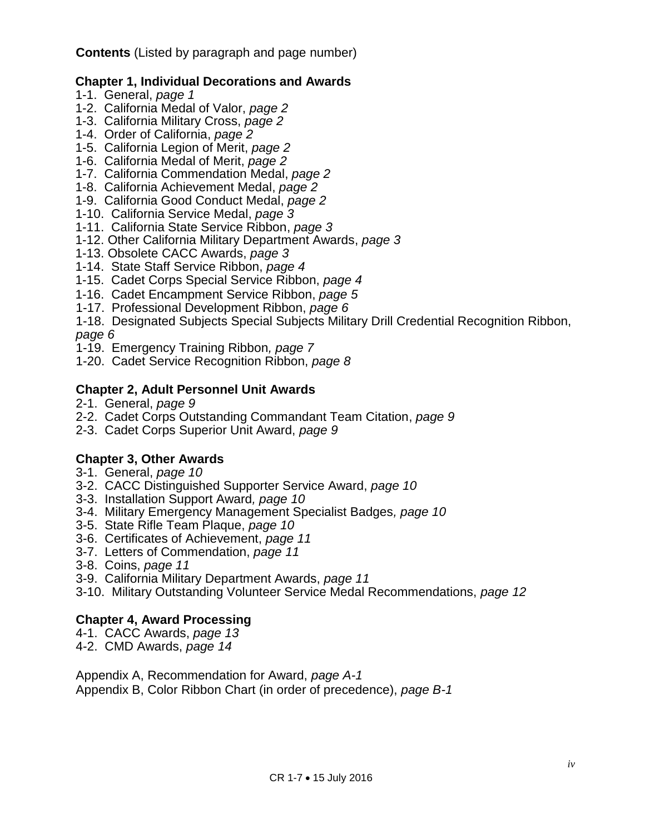**Contents** (Listed by paragraph and page number)

### **Chapter 1, Individual Decorations and Awards**

- 1-1. General, *page 1*
- 1-2. California Medal of Valor, *page 2*
- 1-3. California Military Cross, *page 2*
- 1-4. Order of California, *page 2*
- 1-5. California Legion of Merit, *page 2*
- 1-6. California Medal of Merit, *page 2*
- 1-7. California Commendation Medal, *page 2*
- 1-8. California Achievement Medal, *page 2*
- 1-9. California Good Conduct Medal, *page 2*
- 1-10. California Service Medal, *page 3*
- 1-11. California State Service Ribbon, *page 3*
- 1-12. Other California Military Department Awards, *page 3*
- 1-13. Obsolete CACC Awards, *page 3*
- 1-14. State Staff Service Ribbon, *page 4*
- 1-15. Cadet Corps Special Service Ribbon, *page 4*
- 1-16. Cadet Encampment Service Ribbon, *page 5*
- 1-17. Professional Development Ribbon, *page 6*
- 1-18. Designated Subjects Special Subjects Military Drill Credential Recognition Ribbon, *page 6*
- 1-19. Emergency Training Ribbon*, page 7*
- 1-20. Cadet Service Recognition Ribbon, *page 8*

## **Chapter 2, Adult Personnel Unit Awards**

- 2-1. General, *page 9*
- 2-2. Cadet Corps Outstanding Commandant Team Citation, *page 9*
- 2-3. Cadet Corps Superior Unit Award, *page 9*

## **Chapter 3, Other Awards**

- 3-1. General, *page 10*
- 3-2. CACC Distinguished Supporter Service Award, *page 10*
- 3-3. Installation Support Award*, page 10*
- 3-4. Military Emergency Management Specialist Badges*, page 10*
- 3-5. State Rifle Team Plaque, *page 10*
- 3-6. Certificates of Achievement, *page 11*
- 3-7. Letters of Commendation, *page 11*
- 3-8. Coins, *page 11*
- 3-9. California Military Department Awards, *page 11*
- 3-10. Military Outstanding Volunteer Service Medal Recommendations, *page 12*

## **Chapter 4, Award Processing**

- 4-1. CACC Awards, *page 13*
- 4-2. CMD Awards, *page 14*

Appendix A, Recommendation for Award, *page A-1*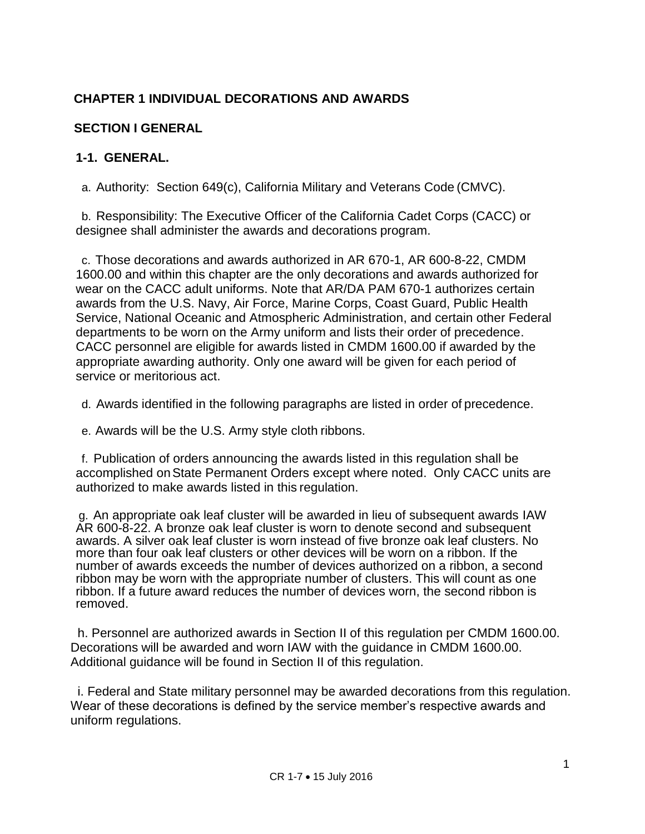## **CHAPTER 1 INDIVIDUAL DECORATIONS AND AWARDS**

## **SECTION I GENERAL**

#### **1-1. GENERAL.**

a. Authority: Section 649(c), California Military and Veterans Code (CMVC).

b. Responsibility: The Executive Officer of the California Cadet Corps (CACC) or designee shall administer the awards and decorations program.

c. Those decorations and awards authorized in AR 670-1, AR 600-8-22, CMDM 1600.00 and within this chapter are the only decorations and awards authorized for wear on the CACC adult uniforms. Note that AR/DA PAM 670-1 authorizes certain awards from the U.S. Navy, Air Force, Marine Corps, Coast Guard, Public Health Service, National Oceanic and Atmospheric Administration, and certain other Federal departments to be worn on the Army uniform and lists their order of precedence. CACC personnel are eligible for awards listed in CMDM 1600.00 if awarded by the appropriate awarding authority. Only one award will be given for each period of service or meritorious act.

d. Awards identified in the following paragraphs are listed in order of precedence.

e. Awards will be the U.S. Army style cloth ribbons.

f. Publication of orders announcing the awards listed in this regulation shall be accomplished onState Permanent Orders except where noted. Only CACC units are authorized to make awards listed in this regulation.

g. An appropriate oak leaf cluster will be awarded in lieu of subsequent awards IAW AR 600-8-22. A bronze oak leaf cluster is worn to denote second and subsequent awards. A silver oak leaf cluster is worn instead of five bronze oak leaf clusters. No more than four oak leaf clusters or other devices will be worn on a ribbon. If the number of awards exceeds the number of devices authorized on a ribbon, a second ribbon may be worn with the appropriate number of clusters. This will count as one ribbon. If a future award reduces the number of devices worn, the second ribbon is removed.

 h. Personnel are authorized awards in Section II of this regulation per CMDM 1600.00. Decorations will be awarded and worn IAW with the guidance in CMDM 1600.00. Additional guidance will be found in Section II of this regulation.

 i. Federal and State military personnel may be awarded decorations from this regulation. Wear of these decorations is defined by the service member's respective awards and uniform regulations.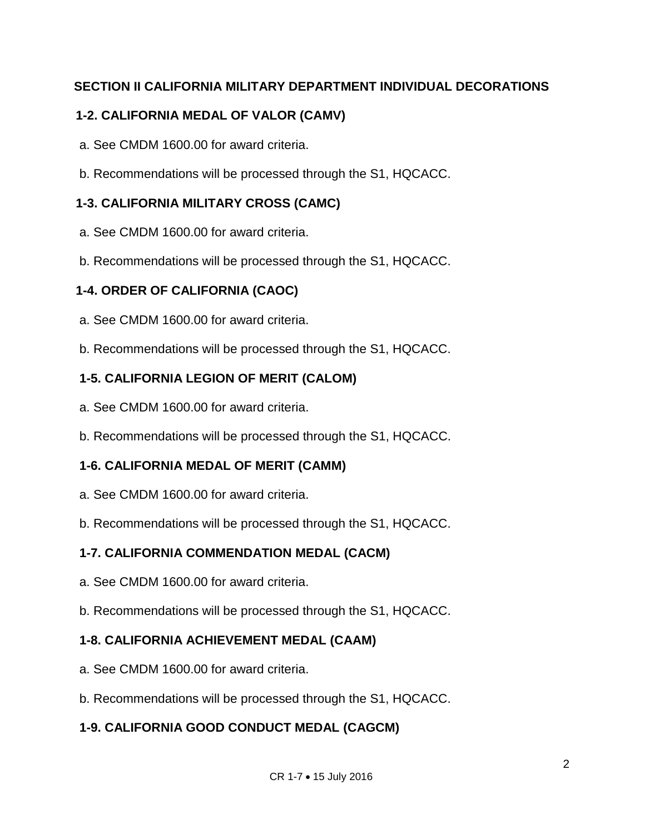## **SECTION II CALIFORNIA MILITARY DEPARTMENT INDIVIDUAL DECORATIONS**

## **1-2. CALIFORNIA MEDAL OF VALOR (CAMV)**

- a. See CMDM 1600.00 for award criteria.
- b. Recommendations will be processed through the S1, HQCACC.

## **1-3. CALIFORNIA MILITARY CROSS (CAMC)**

- a. See CMDM 1600.00 for award criteria.
- b. Recommendations will be processed through the S1, HQCACC.

## **1-4. ORDER OF CALIFORNIA (CAOC)**

- a. See CMDM 1600.00 for award criteria.
- b. Recommendations will be processed through the S1, HQCACC.

## **1-5. CALIFORNIA LEGION OF MERIT (CALOM)**

- a. See CMDM 1600.00 for award criteria.
- b. Recommendations will be processed through the S1, HQCACC.

## **1-6. CALIFORNIA MEDAL OF MERIT (CAMM)**

- a. See CMDM 1600.00 for award criteria.
- b. Recommendations will be processed through the S1, HQCACC.

## **1-7. CALIFORNIA COMMENDATION MEDAL (CACM)**

- a. See CMDM 1600.00 for award criteria.
- b. Recommendations will be processed through the S1, HQCACC.

## **1-8. CALIFORNIA ACHIEVEMENT MEDAL (CAAM)**

- a. See CMDM 1600.00 for award criteria.
- b. Recommendations will be processed through the S1, HQCACC.

## **1-9. CALIFORNIA GOOD CONDUCT MEDAL (CAGCM)**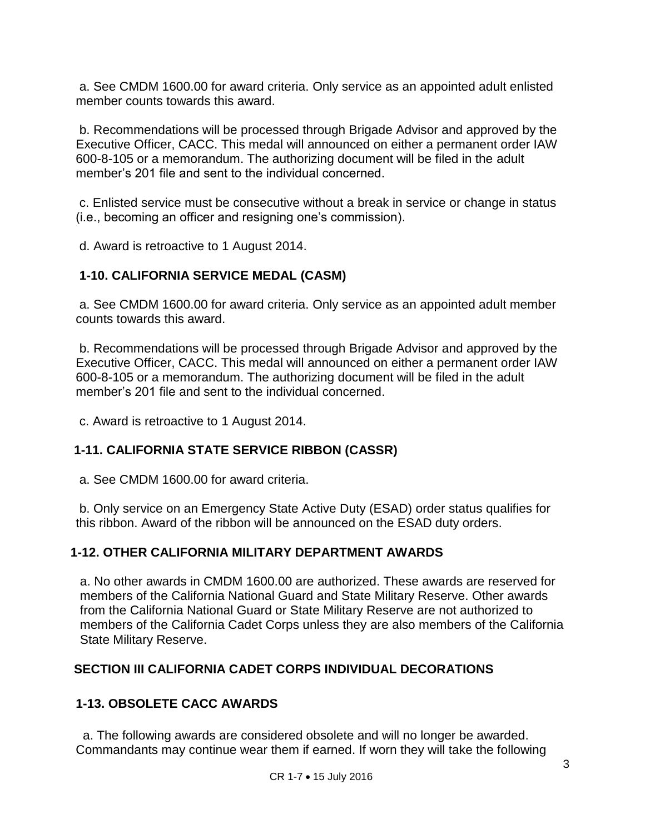a. See CMDM 1600.00 for award criteria. Only service as an appointed adult enlisted member counts towards this award.

b. Recommendations will be processed through Brigade Advisor and approved by the Executive Officer, CACC. This medal will announced on either a permanent order IAW 600-8-105 or a memorandum. The authorizing document will be filed in the adult member's 201 file and sent to the individual concerned.

c. Enlisted service must be consecutive without a break in service or change in status (i.e., becoming an officer and resigning one's commission).

d. Award is retroactive to 1 August 2014.

## **1-10. CALIFORNIA SERVICE MEDAL (CASM)**

a. See CMDM 1600.00 for award criteria. Only service as an appointed adult member counts towards this award.

b. Recommendations will be processed through Brigade Advisor and approved by the Executive Officer, CACC. This medal will announced on either a permanent order IAW 600-8-105 or a memorandum. The authorizing document will be filed in the adult member's 201 file and sent to the individual concerned.

c. Award is retroactive to 1 August 2014.

#### **1-11. CALIFORNIA STATE SERVICE RIBBON (CASSR)**

a. See CMDM 1600.00 for award criteria.

b. Only service on an Emergency State Active Duty (ESAD) order status qualifies for this ribbon. Award of the ribbon will be announced on the ESAD duty orders.

## **1-12. OTHER CALIFORNIA MILITARY DEPARTMENT AWARDS**

a. No other awards in CMDM 1600.00 are authorized. These awards are reserved for members of the California National Guard and State Military Reserve. Other awards from the California National Guard or State Military Reserve are not authorized to members of the California Cadet Corps unless they are also members of the California State Military Reserve.

#### **SECTION III CALIFORNIA CADET CORPS INDIVIDUAL DECORATIONS**

#### **1-13. OBSOLETE CACC AWARDS**

a. The following awards are considered obsolete and will no longer be awarded. Commandants may continue wear them if earned. If worn they will take the following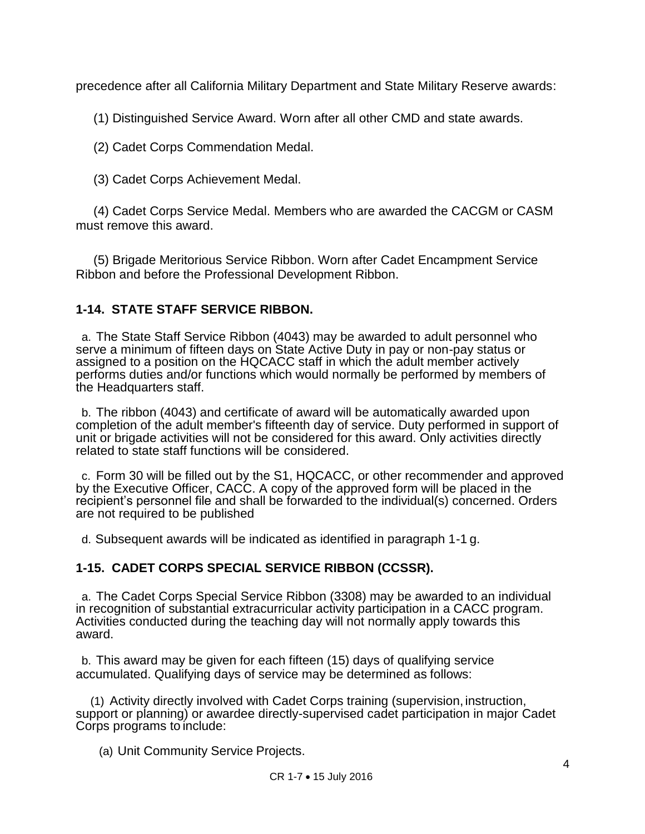precedence after all California Military Department and State Military Reserve awards:

(1) Distinguished Service Award. Worn after all other CMD and state awards.

(2) Cadet Corps Commendation Medal.

(3) Cadet Corps Achievement Medal.

 (4) Cadet Corps Service Medal. Members who are awarded the CACGM or CASM must remove this award.

 (5) Brigade Meritorious Service Ribbon. Worn after Cadet Encampment Service Ribbon and before the Professional Development Ribbon.

## **1-14. STATE STAFF SERVICE RIBBON.**

a. The State Staff Service Ribbon (4043) may be awarded to adult personnel who serve a minimum of fifteen days on State Active Duty in pay or non-pay status or assigned to a position on the HQCACC staff in which the adult member actively performs duties and/or functions which would normally be performed by members of the Headquarters staff.

b. The ribbon (4043) and certificate of award will be automatically awarded upon completion of the adult member's fifteenth day of service. Duty performed in support of unit or brigade activities will not be considered for this award. Only activities directly related to state staff functions will be considered.

c. Form 30 will be filled out by the S1, HQCACC, or other recommender and approved by the Executive Officer, CACC. A copy of the approved form will be placed in the recipient's personnel file and shall be forwarded to the individual(s) concerned. Orders are not required to be published

d. Subsequent awards will be indicated as identified in paragraph 1-1 g.

## **1-15. CADET CORPS SPECIAL SERVICE RIBBON (CCSSR).**

a. The Cadet Corps Special Service Ribbon (3308) may be awarded to an individual in recognition of substantial extracurricular activity participation in a CACC program. Activities conducted during the teaching day will not normally apply towards this award.

b. This award may be given for each fifteen (15) days of qualifying service accumulated. Qualifying days of service may be determined as follows:

(1) Activity directly involved with Cadet Corps training (supervision, instruction, support or planning) or awardee directly-supervised cadet participation in major Cadet Corps programs to include:

(a) Unit Community Service Projects.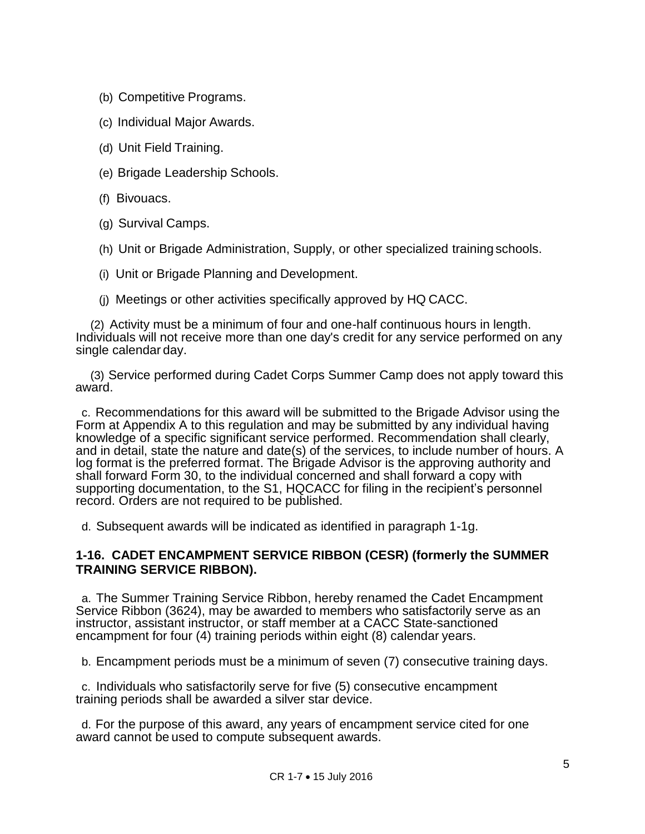- (b) Competitive Programs.
- (c) Individual Major Awards.
- (d) Unit Field Training.
- (e) Brigade Leadership Schools.
- (f) Bivouacs.
- (g) Survival Camps.
- (h) Unit or Brigade Administration, Supply, or other specialized training schools.
- (i) Unit or Brigade Planning and Development.
- (j) Meetings or other activities specifically approved by HQ CACC.

(2) Activity must be a minimum of four and one-half continuous hours in length. Individuals will not receive more than one day's credit for any service performed on any single calendar day.

(3) Service performed during Cadet Corps Summer Camp does not apply toward this award.

c. Recommendations for this award will be submitted to the Brigade Advisor using the Form at Appendix A to this regulation and may be submitted by any individual having knowledge of a specific significant service performed. Recommendation shall clearly, and in detail, state the nature and date(s) of the services, to include number of hours. A log format is the preferred format. The Brigade Advisor is the approving authority and shall forward Form 30, to the individual concerned and shall forward a copy with supporting documentation, to the S1, HQCACC for filing in the recipient's personnel record. Orders are not required to be published.

d. Subsequent awards will be indicated as identified in paragraph 1-1g.

#### **1-16. CADET ENCAMPMENT SERVICE RIBBON (CESR) (formerly the SUMMER TRAINING SERVICE RIBBON).**

a. The Summer Training Service Ribbon, hereby renamed the Cadet Encampment Service Ribbon (3624), may be awarded to members who satisfactorily serve as an instructor, assistant instructor, or staff member at a CACC State-sanctioned encampment for four (4) training periods within eight (8) calendar years.

b. Encampment periods must be a minimum of seven (7) consecutive training days.

c. Individuals who satisfactorily serve for five (5) consecutive encampment training periods shall be awarded a silver star device.

d. For the purpose of this award, any years of encampment service cited for one award cannot be used to compute subsequent awards.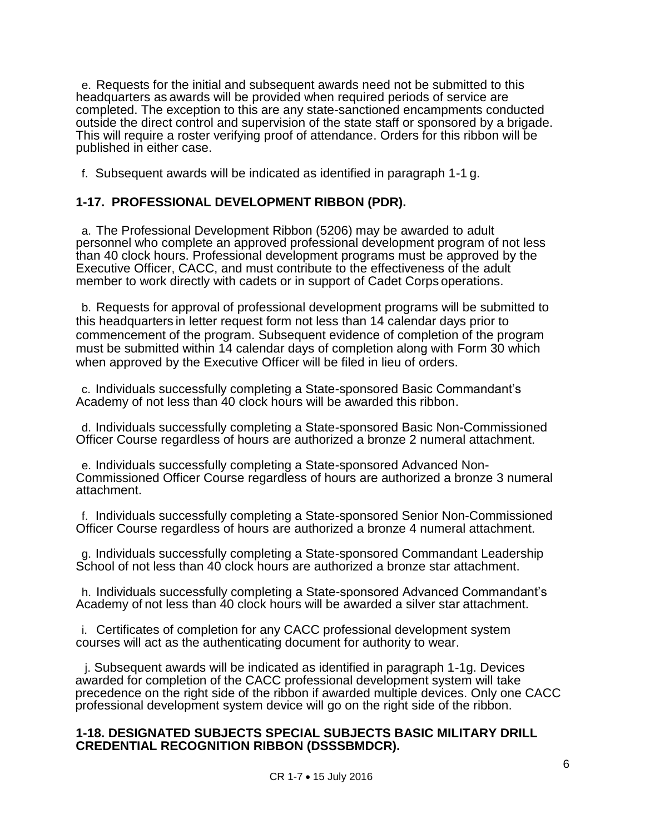e. Requests for the initial and subsequent awards need not be submitted to this headquarters as awards will be provided when required periods of service are completed. The exception to this are any state-sanctioned encampments conducted outside the direct control and supervision of the state staff or sponsored by a brigade. This will require a roster verifying proof of attendance. Orders for this ribbon will be published in either case.

f. Subsequent awards will be indicated as identified in paragraph 1-1 g.

## **1-17. PROFESSIONAL DEVELOPMENT RIBBON (PDR).**

a. The Professional Development Ribbon (5206) may be awarded to adult personnel who complete an approved professional development program of not less than 40 clock hours. Professional development programs must be approved by the Executive Officer, CACC, and must contribute to the effectiveness of the adult member to work directly with cadets or in support of Cadet Corps operations.

b. Requests for approval of professional development programs will be submitted to this headquarters in letter request form not less than 14 calendar days prior to commencement of the program. Subsequent evidence of completion of the program must be submitted within 14 calendar days of completion along with Form 30 which when approved by the Executive Officer will be filed in lieu of orders.

c. Individuals successfully completing a State-sponsored Basic Commandant's Academy of not less than 40 clock hours will be awarded this ribbon.

d. Individuals successfully completing a State-sponsored Basic Non-Commissioned Officer Course regardless of hours are authorized a bronze 2 numeral attachment.

e. Individuals successfully completing a State-sponsored Advanced Non-Commissioned Officer Course regardless of hours are authorized a bronze 3 numeral attachment.

f. Individuals successfully completing a State-sponsored Senior Non-Commissioned Officer Course regardless of hours are authorized a bronze 4 numeral attachment.

g. Individuals successfully completing a State-sponsored Commandant Leadership School of not less than 40 clock hours are authorized a bronze star attachment.

h. Individuals successfully completing a State-sponsored Advanced Commandant's Academy of not less than 40 clock hours will be awarded a silver star attachment.

i. Certificates of completion for any CACC professional development system courses will act as the authenticating document for authority to wear.

j. Subsequent awards will be indicated as identified in paragraph 1-1g. Devices awarded for completion of the CACC professional development system will take precedence on the right side of the ribbon if awarded multiple devices. Only one CACC professional development system device will go on the right side of the ribbon.

#### **1-18. DESIGNATED SUBJECTS SPECIAL SUBJECTS BASIC MILITARY DRILL CREDENTIAL RECOGNITION RIBBON (DSSSBMDCR).**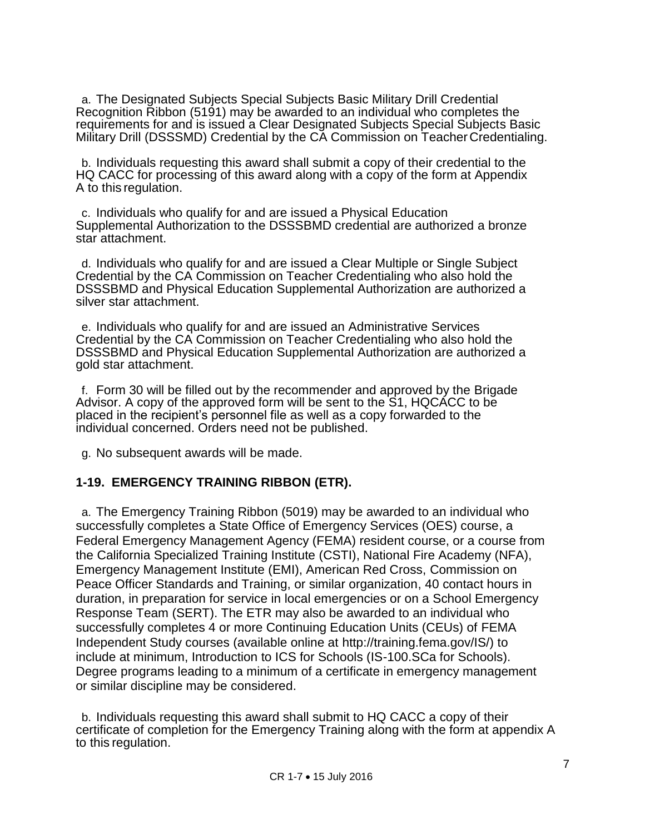a. The Designated Subjects Special Subjects Basic Military Drill Credential Recognition Ribbon (5191) may be awarded to an individual who completes the requirements for and is issued a Clear Designated Subjects Special Subjects Basic Military Drill (DSSSMD) Credential by the CA Commission on Teacher Credentialing.

b. Individuals requesting this award shall submit a copy of their credential to the HQ CACC for processing of this award along with a copy of the form at Appendix A to this regulation.

c. Individuals who qualify for and are issued a Physical Education Supplemental Authorization to the DSSSBMD credential are authorized a bronze star attachment.

d. Individuals who qualify for and are issued a Clear Multiple or Single Subject Credential by the CA Commission on Teacher Credentialing who also hold the DSSSBMD and Physical Education Supplemental Authorization are authorized a silver star attachment.

e. Individuals who qualify for and are issued an Administrative Services Credential by the CA Commission on Teacher Credentialing who also hold the DSSSBMD and Physical Education Supplemental Authorization are authorized a gold star attachment.

f. Form 30 will be filled out by the recommender and approved by the Brigade Advisor. A copy of the approved form will be sent to the S1, HQCACC to be placed in the recipient's personnel file as well as a copy forwarded to the individual concerned. Orders need not be published.

g. No subsequent awards will be made.

#### **1-19. EMERGENCY TRAINING RIBBON (ETR).**

a. The Emergency Training Ribbon (5019) may be awarded to an individual who successfully completes a State Office of Emergency Services (OES) course, a Federal Emergency Management Agency (FEMA) resident course, or a course from the California Specialized Training Institute (CSTI), National Fire Academy (NFA), Emergency Management Institute (EMI), American Red Cross, Commission on Peace Officer Standards and Training, or similar organization, 40 contact hours in duration, in preparation for service in local emergencies or on a School Emergency Response Team (SERT). The ETR may also be awarded to an individual who successfully completes 4 or more Continuing Education Units (CEUs) of FEMA Independent Study courses (available online at [http://training.fema.gov/IS/\)](http://training.fema.gov/IS/)) to include at minimum, Introduction to ICS for Schools (IS-100.SCa for Schools). Degree programs leading to a minimum of a certificate in emergency management or similar discipline may be considered.

b. Individuals requesting this award shall submit to HQ CACC a copy of their certificate of completion for the Emergency Training along with the form at appendix A to this regulation.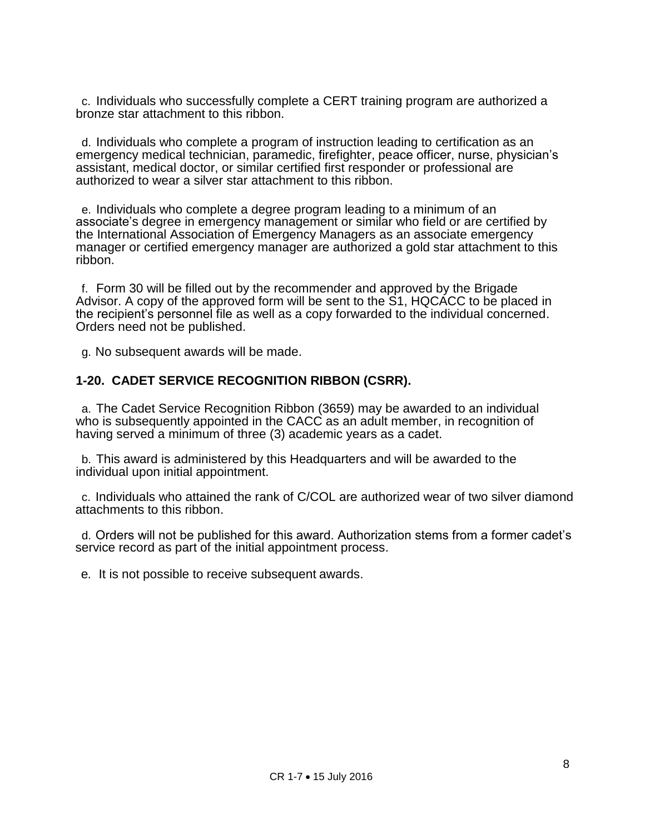c. Individuals who successfully complete a CERT training program are authorized a bronze star attachment to this ribbon.

d. Individuals who complete a program of instruction leading to certification as an emergency medical technician, paramedic, firefighter, peace officer, nurse, physician's assistant, medical doctor, or similar certified first responder or professional are authorized to wear a silver star attachment to this ribbon.

e. Individuals who complete a degree program leading to a minimum of an associate's degree in emergency management or similar who field or are certified by the International Association of Emergency Managers as an associate emergency manager or certified emergency manager are authorized a gold star attachment to this ribbon.

f. Form 30 will be filled out by the recommender and approved by the Brigade Advisor. A copy of the approved form will be sent to the S1, HQCACC to be placed in the recipient's personnel file as well as a copy forwarded to the individual concerned. Orders need not be published.

g. No subsequent awards will be made.

#### **1-20. CADET SERVICE RECOGNITION RIBBON (CSRR).**

a. The Cadet Service Recognition Ribbon (3659) may be awarded to an individual who is subsequently appointed in the CACC as an adult member, in recognition of having served a minimum of three (3) academic years as a cadet.

b. This award is administered by this Headquarters and will be awarded to the individual upon initial appointment.

c. Individuals who attained the rank of C/COL are authorized wear of two silver diamond attachments to this ribbon.

d. Orders will not be published for this award. Authorization stems from a former cadet's service record as part of the initial appointment process.

e*.* It is not possible to receive subsequent awards.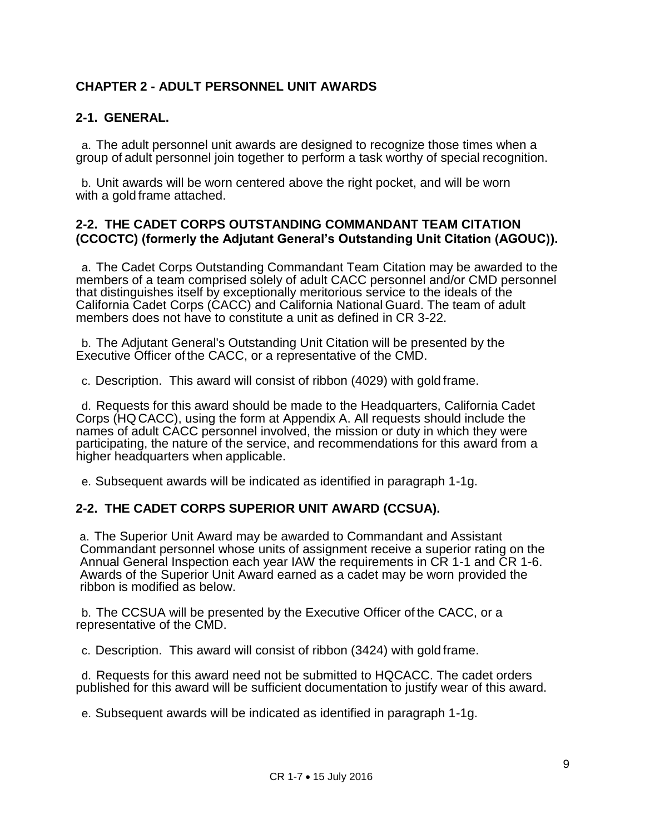## **CHAPTER 2 - ADULT PERSONNEL UNIT AWARDS**

#### **2-1. GENERAL.**

a. The adult personnel unit awards are designed to recognize those times when a group of adult personnel join together to perform a task worthy of special recognition.

b. Unit awards will be worn centered above the right pocket, and will be worn with a gold frame attached.

#### **2-2. THE CADET CORPS OUTSTANDING COMMANDANT TEAM CITATION (CCOCTC) (formerly the Adjutant General's Outstanding Unit Citation (AGOUC)).**

a. The Cadet Corps Outstanding Commandant Team Citation may be awarded to the members of a team comprised solely of adult CACC personnel and/or CMD personnel that distinguishes itself by exceptionally meritorious service to the ideals of the California Cadet Corps (CACC) and California National Guard. The team of adult members does not have to constitute a unit as defined in CR 3-22.

b. The Adjutant General's Outstanding Unit Citation will be presented by the Executive Officer of the CACC, or a representative of the CMD.

c. Description. This award will consist of ribbon (4029) with gold frame.

d. Requests for this award should be made to the Headquarters, California Cadet Corps (HQ CACC), using the form at Appendix A. All requests should include the names of adult CACC personnel involved, the mission or duty in which they were participating, the nature of the service, and recommendations for this award from a higher headquarters when applicable.

e. Subsequent awards will be indicated as identified in paragraph 1-1g.

#### **2-2. THE CADET CORPS SUPERIOR UNIT AWARD (CCSUA).**

a. The Superior Unit Award may be awarded to Commandant and Assistant Commandant personnel whose units of assignment receive a superior rating on the Annual General Inspection each year IAW the requirements in CR 1-1 and CR 1-6. Awards of the Superior Unit Award earned as a cadet may be worn provided the ribbon is modified as below.

b. The CCSUA will be presented by the Executive Officer of the CACC, or a representative of the CMD.

c. Description. This award will consist of ribbon (3424) with gold frame.

d. Requests for this award need not be submitted to HQCACC. The cadet orders published for this award will be sufficient documentation to justify wear of this award.

e. Subsequent awards will be indicated as identified in paragraph 1-1g.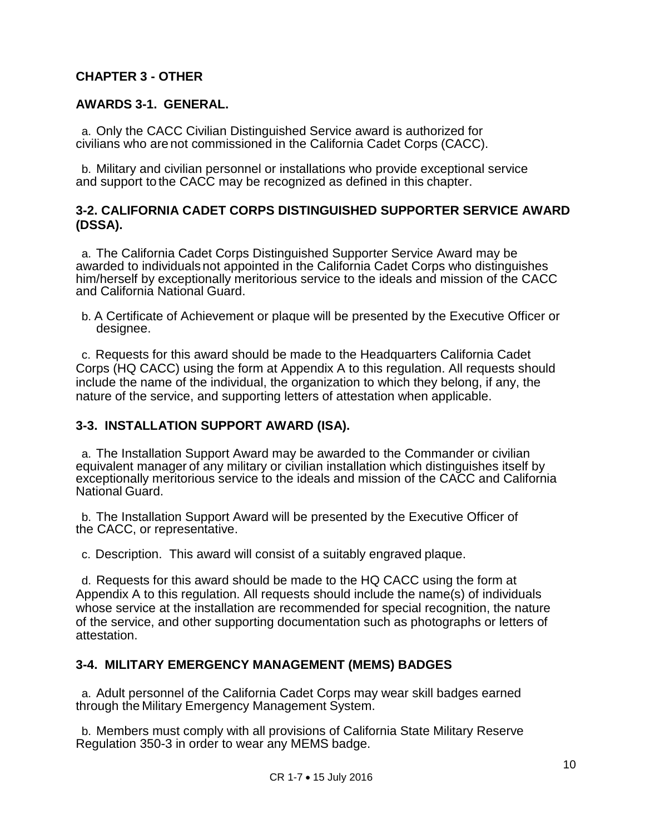### **CHAPTER 3 - OTHER**

#### **AWARDS 3-1. GENERAL.**

a. Only the CACC Civilian Distinguished Service award is authorized for civilians who are not commissioned in the California Cadet Corps (CACC).

b. Military and civilian personnel or installations who provide exceptional service and support to the CACC may be recognized as defined in this chapter.

#### **3-2. CALIFORNIA CADET CORPS DISTINGUISHED SUPPORTER SERVICE AWARD (DSSA).**

a. The California Cadet Corps Distinguished Supporter Service Award may be awarded to individualsnot appointed in the California Cadet Corps who distinguishes him/herself by exceptionally meritorious service to the ideals and mission of the CACC and California National Guard.

b. A Certificate of Achievement or plaque will be presented by the Executive Officer or designee.

c. Requests for this award should be made to the Headquarters California Cadet Corps (HQ CACC) using the form at Appendix A to this regulation. All requests should include the name of the individual, the organization to which they belong, if any, the nature of the service, and supporting letters of attestation when applicable.

#### **3-3. INSTALLATION SUPPORT AWARD (ISA).**

a. The Installation Support Award may be awarded to the Commander or civilian equivalent manager of any military or civilian installation which distinguishes itself by exceptionally meritorious service to the ideals and mission of the CACC and California National Guard.

b. The Installation Support Award will be presented by the Executive Officer of the CACC, or representative.

c. Description. This award will consist of a suitably engraved plaque.

d. Requests for this award should be made to the HQ CACC using the form at Appendix A to this regulation. All requests should include the name(s) of individuals whose service at the installation are recommended for special recognition, the nature of the service, and other supporting documentation such as photographs or letters of attestation.

#### **3-4. MILITARY EMERGENCY MANAGEMENT (MEMS) BADGES**

a. Adult personnel of the California Cadet Corps may wear skill badges earned through the Military Emergency Management System.

b. Members must comply with all provisions of California State Military Reserve Regulation 350-3 in order to wear any MEMS badge.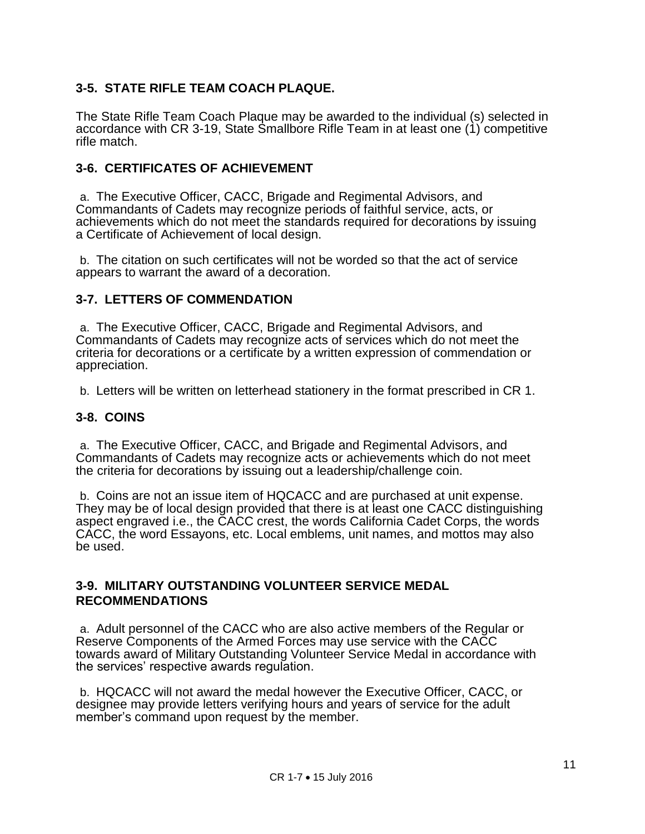## **3-5. STATE RIFLE TEAM COACH PLAQUE.**

The State Rifle Team Coach Plaque may be awarded to the individual (s) selected in accordance with CR 3-19, State Smallbore Rifle Team in at least one (1) competitive rifle match.

#### **3-6. CERTIFICATES OF ACHIEVEMENT**

a. The Executive Officer, CACC, Brigade and Regimental Advisors, and Commandants of Cadets may recognize periods of faithful service, acts, or achievements which do not meet the standards required for decorations by issuing a Certificate of Achievement of local design.

b. The citation on such certificates will not be worded so that the act of service appears to warrant the award of a decoration.

### **3-7. LETTERS OF COMMENDATION**

a. The Executive Officer, CACC, Brigade and Regimental Advisors, and Commandants of Cadets may recognize acts of services which do not meet the criteria for decorations or a certificate by a written expression of commendation or appreciation.

b. Letters will be written on letterhead stationery in the format prescribed in CR 1.

#### **3-8. COINS**

a. The Executive Officer, CACC, and Brigade and Regimental Advisors, and Commandants of Cadets may recognize acts or achievements which do not meet the criteria for decorations by issuing out a leadership/challenge coin.

b. Coins are not an issue item of HQCACC and are purchased at unit expense. They may be of local design provided that there is at least one CACC distinguishing aspect engraved i.e., the CACC crest, the words California Cadet Corps, the words CACC, the word Essayons, etc. Local emblems, unit names, and mottos may also be used.

#### **3-9. MILITARY OUTSTANDING VOLUNTEER SERVICE MEDAL RECOMMENDATIONS**

a. Adult personnel of the CACC who are also active members of the Regular or Reserve Components of the Armed Forces may use service with the CACC towards award of Military Outstanding Volunteer Service Medal in accordance with the services' respective awards regulation.

b. HQCACC will not award the medal however the Executive Officer, CACC, or designee may provide letters verifying hours and years of service for the adult member's command upon request by the member.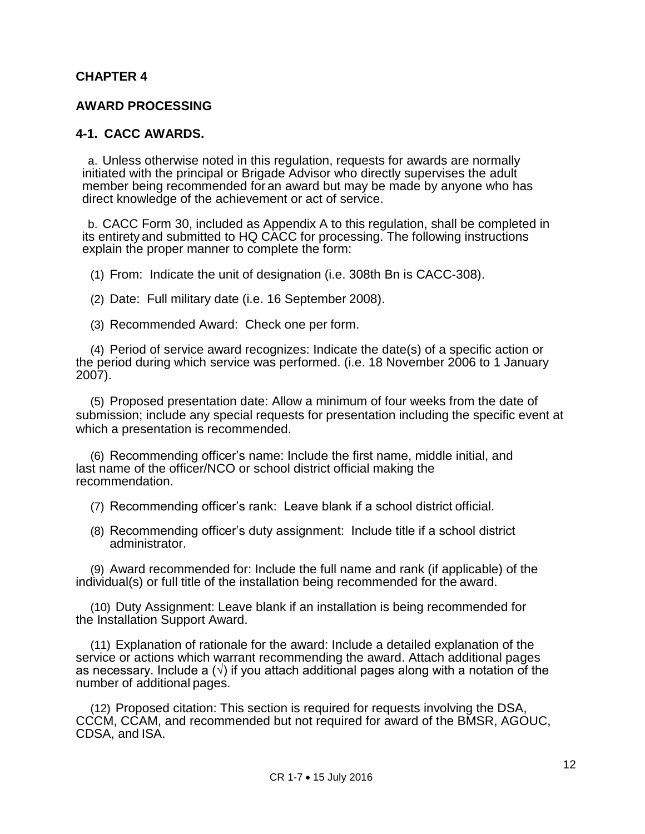#### **CHAPTER 4**

#### **AWARD PROCESSING**

#### **4-1. CACC AWARDS.**

a. Unless otherwise noted in this regulation, requests for awards are normally initiated with the principal or Brigade Advisor who directly supervises the adult member being recommended for an award but may be made by anyone who has direct knowledge of the achievement or act of service.

b. CACC Form 30, included as Appendix A to this regulation, shall be completed in its entirety and submitted to HQ CACC for processing. The following instructions explain the proper manner to complete the form:

(1) From: Indicate the unit of designation (i.e. 308th Bn is CACC-308).

(2) Date: Full military date (i.e. 16 September 2008).

(3) Recommended Award: Check one per form.

(4) Period of service award recognizes: Indicate the date(s) of a specific action or the period during which service was performed. (i.e. 18 November 2006 to 1 January 2007).

(5) Proposed presentation date: Allow a minimum of four weeks from the date of submission; include any special requests for presentation including the specific event at which a presentation is recommended.

(6) Recommending officer's name: Include the first name, middle initial, and last name of the officer/NCO or school district official making the recommendation.

(7) Recommending officer's rank: Leave blank if a school district official.

(8) Recommending officer's duty assignment: Include title if a school district administrator.

(9) Award recommended for: Include the full name and rank (if applicable) of the individual(s) or full title of the installation being recommended for the award.

(10) Duty Assignment: Leave blank if an installation is being recommended for the Installation Support Award.

(11) Explanation of rationale for the award: Include a detailed explanation of the service or actions which warrant recommending the award. Attach additional pages as necessary. Include a  $(\sqrt{ } )$  if you attach additional pages along with a notation of the number of additional pages.

(12) Proposed citation: This section is required for requests involving the DSA, CCCM, CCAM, and recommended but not required for award of the BMSR, AGOUC, CDSA, and ISA.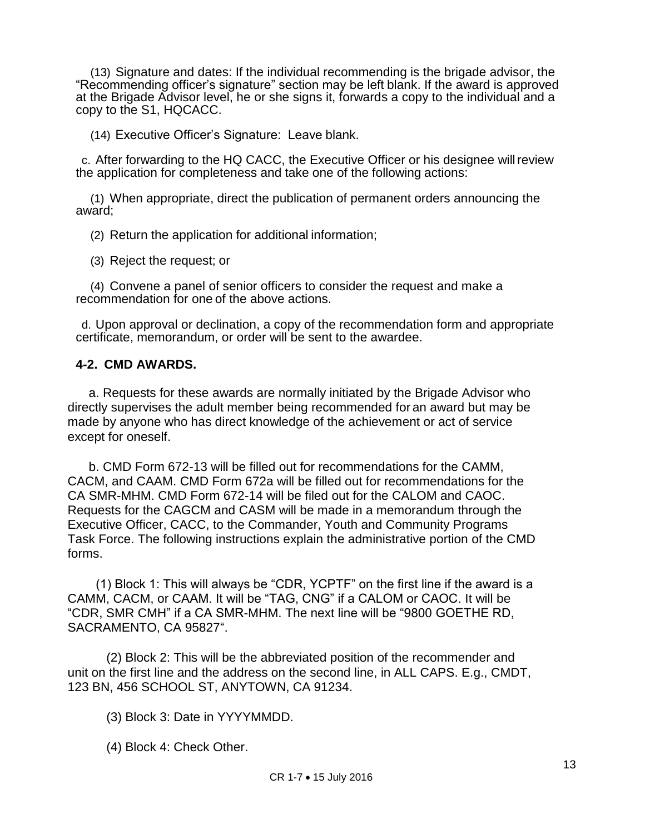(13) Signature and dates: If the individual recommending is the brigade advisor, the "Recommending officer's signature" section may be left blank. If the award is approved at the Brigade Advisor level, he or she signs it, forwards a copy to the individual and a copy to the S1, HQCACC.

(14) Executive Officer's Signature: Leave blank.

c. After forwarding to the HQ CACC, the Executive Officer or his designee willreview the application for completeness and take one of the following actions:

(1) When appropriate, direct the publication of permanent orders announcing the award;

(2) Return the application for additional information;

(3) Reject the request; or

(4) Convene a panel of senior officers to consider the request and make a recommendation for one of the above actions.

d. Upon approval or declination, a copy of the recommendation form and appropriate certificate, memorandum, or order will be sent to the awardee.

#### **4-2. CMD AWARDS.**

 a. Requests for these awards are normally initiated by the Brigade Advisor who directly supervises the adult member being recommended for an award but may be made by anyone who has direct knowledge of the achievement or act of service except for oneself.

 b. CMD Form 672-13 will be filled out for recommendations for the CAMM, CACM, and CAAM. CMD Form 672a will be filled out for recommendations for the CA SMR-MHM. CMD Form 672-14 will be filed out for the CALOM and CAOC. Requests for the CAGCM and CASM will be made in a memorandum through the Executive Officer, CACC, to the Commander, Youth and Community Programs Task Force. The following instructions explain the administrative portion of the CMD forms.

 (1) Block 1: This will always be "CDR, YCPTF" on the first line if the award is a CAMM, CACM, or CAAM. It will be "TAG, CNG" if a CALOM or CAOC. It will be "CDR, SMR CMH" if a CA SMR-MHM. The next line will be "9800 GOETHE RD, SACRAMENTO, CA 95827".

 (2) Block 2: This will be the abbreviated position of the recommender and unit on the first line and the address on the second line, in ALL CAPS. E.g., CMDT, 123 BN, 456 SCHOOL ST, ANYTOWN, CA 91234.

- (3) Block 3: Date in YYYYMMDD.
- (4) Block 4: Check Other.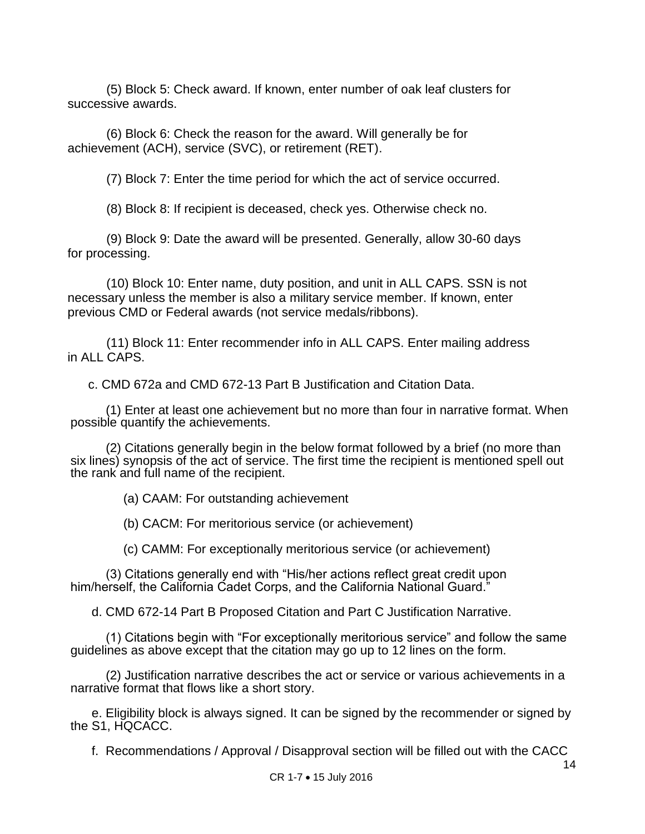(5) Block 5: Check award. If known, enter number of oak leaf clusters for successive awards.

 (6) Block 6: Check the reason for the award. Will generally be for achievement (ACH), service (SVC), or retirement (RET).

(7) Block 7: Enter the time period for which the act of service occurred.

(8) Block 8: If recipient is deceased, check yes. Otherwise check no.

 (9) Block 9: Date the award will be presented. Generally, allow 30-60 days for processing.

 (10) Block 10: Enter name, duty position, and unit in ALL CAPS. SSN is not necessary unless the member is also a military service member. If known, enter previous CMD or Federal awards (not service medals/ribbons).

 (11) Block 11: Enter recommender info in ALL CAPS. Enter mailing address in ALL CAPS.

c. CMD 672a and CMD 672-13 Part B Justification and Citation Data.

 (1) Enter at least one achievement but no more than four in narrative format. When possible quantify the achievements.

 (2) Citations generally begin in the below format followed by a brief (no more than six lines) synopsis of the act of service. The first time the recipient is mentioned spell out the rank and full name of the recipient.

(a) CAAM: For outstanding achievement

(b) CACM: For meritorious service (or achievement)

(c) CAMM: For exceptionally meritorious service (or achievement)

 (3) Citations generally end with "His/her actions reflect great credit upon him/herself, the California Cadet Corps, and the California National Guard."

d. CMD 672-14 Part B Proposed Citation and Part C Justification Narrative.

 (1) Citations begin with "For exceptionally meritorious service" and follow the same guidelines as above except that the citation may go up to 12 lines on the form.

 (2) Justification narrative describes the act or service or various achievements in a narrative format that flows like a short story.

 e. Eligibility block is always signed. It can be signed by the recommender or signed by the S1, HQCACC.

f. Recommendations / Approval / Disapproval section will be filled out with the CACC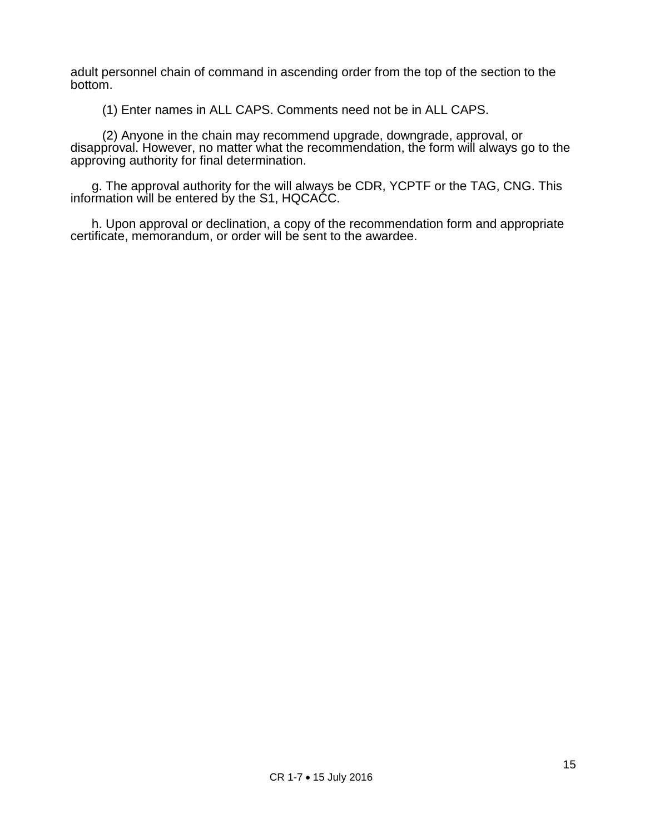adult personnel chain of command in ascending order from the top of the section to the bottom.

(1) Enter names in ALL CAPS. Comments need not be in ALL CAPS.

 (2) Anyone in the chain may recommend upgrade, downgrade, approval, or disapproval. However, no matter what the recommendation, the form will always go to the approving authority for final determination.

 g. The approval authority for the will always be CDR, YCPTF or the TAG, CNG. This information will be entered by the S1, HQCACC.

 h. Upon approval or declination, a copy of the recommendation form and appropriate certificate, memorandum, or order will be sent to the awardee.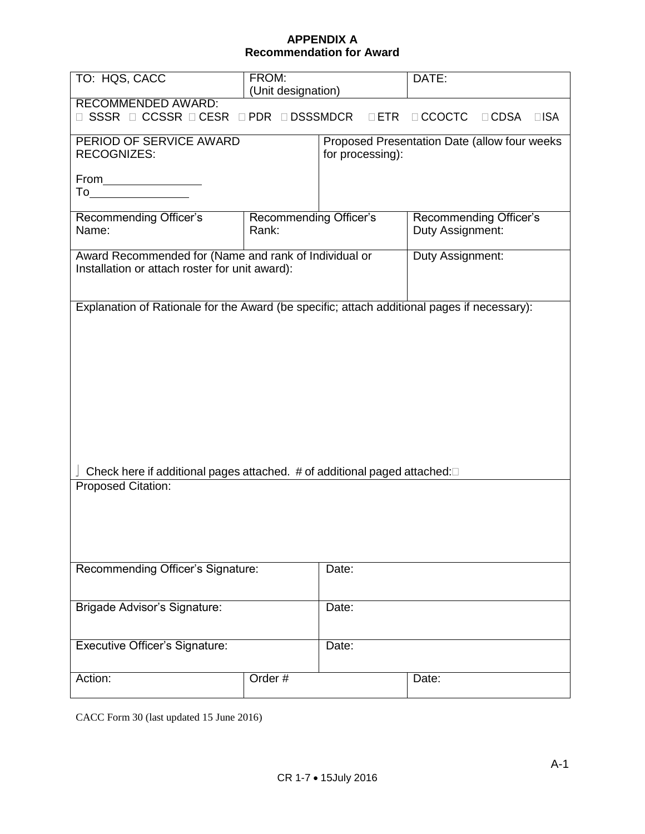#### **APPENDIX A Recommendation for Award**

| TO: HQS, CACC                                                                                                                                                                                                                                     | FROM:<br>(Unit designation) |                  | DATE:                  |
|---------------------------------------------------------------------------------------------------------------------------------------------------------------------------------------------------------------------------------------------------|-----------------------------|------------------|------------------------|
| <b>RECOMMENDED AWARD:</b>                                                                                                                                                                                                                         |                             |                  |                        |
| SSSR □ CCSSR □ CESR<br>□ PDR □ DSSSMDCR<br>$\Box$ CCOCTC<br>$\Box$ ETR<br>$\Box$ CDSA<br>$\Box$ ISA<br>H.                                                                                                                                         |                             |                  |                        |
| PERIOD OF SERVICE AWARD<br>Proposed Presentation Date (allow four weeks                                                                                                                                                                           |                             |                  |                        |
| <b>RECOGNIZES:</b>                                                                                                                                                                                                                                |                             | for processing): |                        |
|                                                                                                                                                                                                                                                   |                             |                  |                        |
| From Parameters<br>To the contract of the contract of the contract of the contract of the contract of the contract of the contract of the contract of the contract of the contract of the contract of the contract of the contract of the contrac |                             |                  |                        |
|                                                                                                                                                                                                                                                   |                             |                  |                        |
| Recommending Officer's                                                                                                                                                                                                                            | Recommending Officer's      |                  | Recommending Officer's |
| Name:                                                                                                                                                                                                                                             | Rank:                       |                  | Duty Assignment:       |
|                                                                                                                                                                                                                                                   |                             |                  |                        |
| Award Recommended for (Name and rank of Individual or                                                                                                                                                                                             |                             |                  | Duty Assignment:       |
| Installation or attach roster for unit award):                                                                                                                                                                                                    |                             |                  |                        |
|                                                                                                                                                                                                                                                   |                             |                  |                        |
| Explanation of Rationale for the Award (be specific; attach additional pages if necessary):                                                                                                                                                       |                             |                  |                        |
|                                                                                                                                                                                                                                                   |                             |                  |                        |
|                                                                                                                                                                                                                                                   |                             |                  |                        |
|                                                                                                                                                                                                                                                   |                             |                  |                        |
|                                                                                                                                                                                                                                                   |                             |                  |                        |
|                                                                                                                                                                                                                                                   |                             |                  |                        |
|                                                                                                                                                                                                                                                   |                             |                  |                        |
|                                                                                                                                                                                                                                                   |                             |                  |                        |
|                                                                                                                                                                                                                                                   |                             |                  |                        |
|                                                                                                                                                                                                                                                   |                             |                  |                        |
|                                                                                                                                                                                                                                                   |                             |                  |                        |
|                                                                                                                                                                                                                                                   |                             |                  |                        |
| Check here if additional pages attached. # of additional paged attached:□                                                                                                                                                                         |                             |                  |                        |
| Proposed Citation:                                                                                                                                                                                                                                |                             |                  |                        |
|                                                                                                                                                                                                                                                   |                             |                  |                        |
|                                                                                                                                                                                                                                                   |                             |                  |                        |
|                                                                                                                                                                                                                                                   |                             |                  |                        |
|                                                                                                                                                                                                                                                   |                             |                  |                        |
| Recommending Officer's Signature:                                                                                                                                                                                                                 |                             | Date:            |                        |
|                                                                                                                                                                                                                                                   |                             |                  |                        |
|                                                                                                                                                                                                                                                   |                             |                  |                        |
| Brigade Advisor's Signature:                                                                                                                                                                                                                      |                             | Date:            |                        |
|                                                                                                                                                                                                                                                   |                             |                  |                        |
|                                                                                                                                                                                                                                                   |                             |                  |                        |
| <b>Executive Officer's Signature:</b>                                                                                                                                                                                                             |                             | Date:            |                        |
|                                                                                                                                                                                                                                                   |                             |                  |                        |
| Action:                                                                                                                                                                                                                                           | Order#                      |                  | Date:                  |
|                                                                                                                                                                                                                                                   |                             |                  |                        |

CACC Form 30 (last updated 15 June 2016)